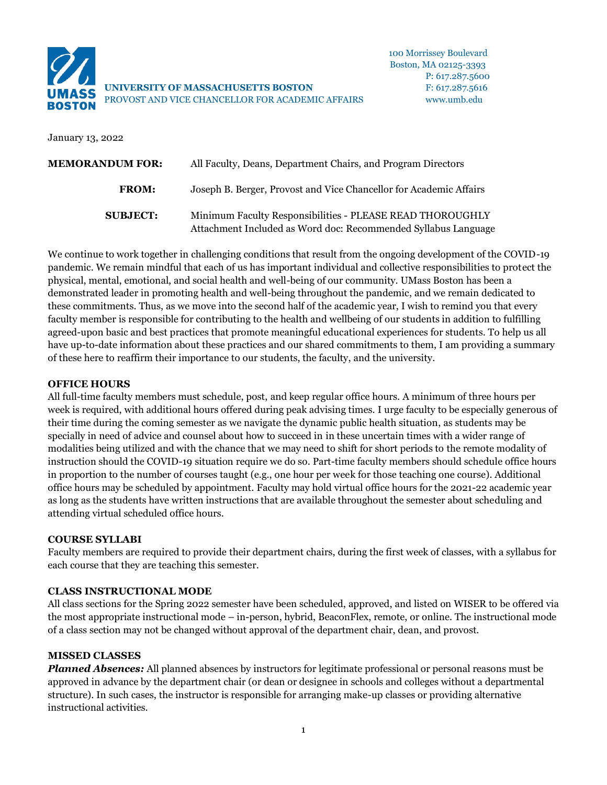

**UNIVERSITY OF MASSACHUSETTS BOSTON** F: 617.287.5616 PROVOST AND VICE CHANCELLOR FOR ACADEMIC AFFAIRS www.umb.edu

January 13, 2022

| <b>MEMORANDUM FOR:</b><br>All Faculty, Deans, Department Chairs, and Program Directors |                                                                                                                             |
|----------------------------------------------------------------------------------------|-----------------------------------------------------------------------------------------------------------------------------|
| <b>FROM:</b>                                                                           | Joseph B. Berger, Provost and Vice Chancellor for Academic Affairs                                                          |
| <b>SUBJECT:</b>                                                                        | Minimum Faculty Responsibilities - PLEASE READ THOROUGHLY<br>Attachment Included as Word doc: Recommended Syllabus Language |

We continue to work together in challenging conditions that result from the ongoing development of the COVID-19 pandemic. We remain mindful that each of us has important individual and collective responsibilities to protect the physical, mental, emotional, and social health and well-being of our community. UMass Boston has been a demonstrated leader in promoting health and well-being throughout the pandemic, and we remain dedicated to these commitments. Thus, as we move into the second half of the academic year, I wish to remind you that every faculty member is responsible for contributing to the health and wellbeing of our students in addition to fulfilling agreed-upon basic and best practices that promote meaningful educational experiences for students. To help us all have up-to-date information about these practices and our shared commitments to them, I am providing a summary of these here to reaffirm their importance to our students, the faculty, and the university.

### **OFFICE HOURS**

All full-time faculty members must schedule, post, and keep regular office hours. A minimum of three hours per week is required, with additional hours offered during peak advising times. I urge faculty to be especially generous of their time during the coming semester as we navigate the dynamic public health situation, as students may be specially in need of advice and counsel about how to succeed in in these uncertain times with a wider range of modalities being utilized and with the chance that we may need to shift for short periods to the remote modality of instruction should the COVID-19 situation require we do so. Part-time faculty members should schedule office hours in proportion to the number of courses taught (e.g., one hour per week for those teaching one course). Additional office hours may be scheduled by appointment. Faculty may hold virtual office hours for the 2021-22 academic year as long as the students have written instructions that are available throughout the semester about scheduling and attending virtual scheduled office hours.

# **COURSE SYLLABI**

Faculty members are required to provide their department chairs, during the first week of classes, with a syllabus for each course that they are teaching this semester.

### **CLASS INSTRUCTIONAL MODE**

All class sections for the Spring 2022 semester have been scheduled, approved, and listed on WISER to be offered via the most appropriate instructional mode – in-person, hybrid, BeaconFlex, remote, or online. The instructional mode of a class section may not be changed without approval of the department chair, dean, and provost.

# **MISSED CLASSES**

*Planned Absences:* All planned absences by instructors for legitimate professional or personal reasons must be approved in advance by the department chair (or dean or designee in schools and colleges without a departmental structure). In such cases, the instructor is responsible for arranging make-up classes or providing alternative instructional activities.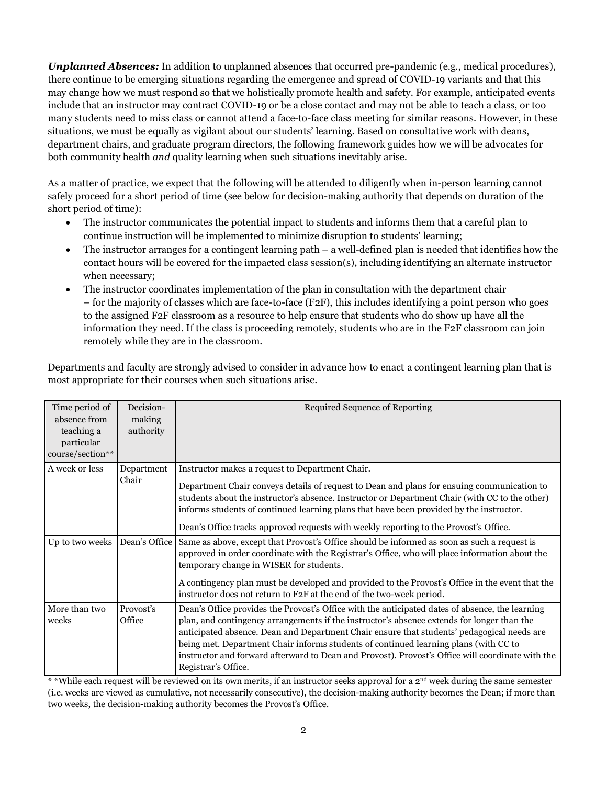*Unplanned Absences:* In addition to unplanned absences that occurred pre-pandemic (e.g., medical procedures), there continue to be emerging situations regarding the emergence and spread of COVID-19 variants and that this may change how we must respond so that we holistically promote health and safety. For example, anticipated events include that an instructor may contract COVID-19 or be a close contact and may not be able to teach a class, or too many students need to miss class or cannot attend a face-to-face class meeting for similar reasons. However, in these situations, we must be equally as vigilant about our students' learning. Based on consultative work with deans, department chairs, and graduate program directors, the following framework guides how we will be advocates for both community health *and* quality learning when such situations inevitably arise.

As a matter of practice, we expect that the following will be attended to diligently when in-person learning cannot safely proceed for a short period of time (see below for decision-making authority that depends on duration of the short period of time):

- The instructor communicates the potential impact to students and informs them that a careful plan to continue instruction will be implemented to minimize disruption to students' learning;
- The instructor arranges for a contingent learning path  $-$  a well-defined plan is needed that identifies how the contact hours will be covered for the impacted class session(s), including identifying an alternate instructor when necessary;
- The instructor coordinates implementation of the plan in consultation with the department chair – for the majority of classes which are face-to-face (F2F), this includes identifying a point person who goes to the assigned F2F classroom as a resource to help ensure that students who do show up have all the information they need. If the class is proceeding remotely, students who are in the F2F classroom can join remotely while they are in the classroom.

Departments and faculty are strongly advised to consider in advance how to enact a contingent learning plan that is most appropriate for their courses when such situations arise.

| Time period of<br>absence from<br>teaching a<br>particular<br>course/section** | Decision-<br>making<br>authority | Required Sequence of Reporting                                                                                                                                                                                                                                                                                                                                                                                                                                                                                 |
|--------------------------------------------------------------------------------|----------------------------------|----------------------------------------------------------------------------------------------------------------------------------------------------------------------------------------------------------------------------------------------------------------------------------------------------------------------------------------------------------------------------------------------------------------------------------------------------------------------------------------------------------------|
| A week or less                                                                 | Department<br>Chair              | Instructor makes a request to Department Chair.<br>Department Chair conveys details of request to Dean and plans for ensuing communication to<br>students about the instructor's absence. Instructor or Department Chair (with CC to the other)<br>informs students of continued learning plans that have been provided by the instructor.<br>Dean's Office tracks approved requests with weekly reporting to the Provost's Office.                                                                            |
| Up to two weeks                                                                | Dean's Office                    | Same as above, except that Provost's Office should be informed as soon as such a request is<br>approved in order coordinate with the Registrar's Office, who will place information about the<br>temporary change in WISER for students.<br>A contingency plan must be developed and provided to the Provost's Office in the event that the<br>instructor does not return to F2F at the end of the two-week period.                                                                                            |
| More than two<br>weeks                                                         | Provosť's<br>Office              | Dean's Office provides the Provost's Office with the anticipated dates of absence, the learning<br>plan, and contingency arrangements if the instructor's absence extends for longer than the<br>anticipated absence. Dean and Department Chair ensure that students' pedagogical needs are<br>being met. Department Chair informs students of continued learning plans (with CC to<br>instructor and forward afterward to Dean and Provost). Provost's Office will coordinate with the<br>Registrar's Office. |

 $*$  While each request will be reviewed on its own merits, if an instructor seeks approval for a 2<sup>nd</sup> week during the same semester (i.e. weeks are viewed as cumulative, not necessarily consecutive), the decision-making authority becomes the Dean; if more than two weeks, the decision-making authority becomes the Provost's Office.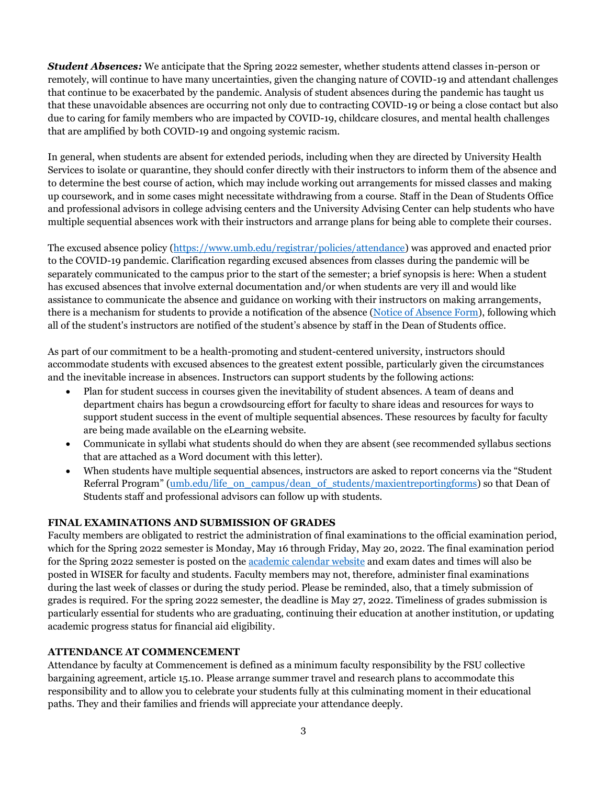*Student Absences:* We anticipate that the Spring 2022 semester, whether students attend classes in-person or remotely, will continue to have many uncertainties, given the changing nature of COVID-19 and attendant challenges that continue to be exacerbated by the pandemic. Analysis of student absences during the pandemic has taught us that these unavoidable absences are occurring not only due to contracting COVID-19 or being a close contact but also due to caring for family members who are impacted by COVID-19, childcare closures, and mental health challenges that are amplified by both COVID-19 and ongoing systemic racism.

In general, when students are absent for extended periods, including when they are directed by University Health Services to isolate or quarantine, they should confer directly with their instructors to inform them of the absence and to determine the best course of action, which may include working out arrangements for missed classes and making up coursework, and in some cases might necessitate withdrawing from a course. Staff in the Dean of Students Office and professional advisors in college advising centers and the University Advising Center can help students who have multiple sequential absences work with their instructors and arrange plans for being able to complete their courses.

The excused absence policy [\(https://www.umb.edu/registrar/policies/attendance\)](https://www.umb.edu/registrar/policies/attendance) was approved and enacted prior to the COVID-19 pandemic. Clarification regarding excused absences from classes during the pandemic will be separately communicated to the campus prior to the start of the semester; a brief synopsis is here: When a student has excused absences that involve external documentation and/or when students are very ill and would like assistance to communicate the absence and guidance on working with their instructors on making arrangements, there is a mechanism for students to provide a notification of the absence [\(Notice of Absence Form\)](https://www.umb.edu/life_on_campus/dean_of_students/forms), following which all of the student's instructors are notified of the student's absence by staff in the Dean of Students office.

As part of our commitment to be a health-promoting and student-centered university, instructors should accommodate students with excused absences to the greatest extent possible, particularly given the circumstances and the inevitable increase in absences. Instructors can support students by the following actions:

- Plan for student success in courses given the inevitability of student absences. A team of deans and department chairs has begun a crowdsourcing effort for faculty to share ideas and resources for ways to support student success in the event of multiple sequential absences. These resources by faculty for faculty are being made available on the eLearning website.
- Communicate in syllabi what students should do when they are absent (see recommended syllabus sections that are attached as a Word document with this letter).
- When students have multiple sequential absences, instructors are asked to report concerns via the "Student Referral Program" [\(umb.edu/life\\_on\\_campus/dean\\_of\\_students/maxientreportingforms\)](https://www.umb.edu/life_on_campus/dean_of_students/maxientreportingforms) so that Dean of Students staff and professional advisors can follow up with students.

# **FINAL EXAMINATIONS AND SUBMISSION OF GRADES**

Faculty members are obligated to restrict the administration of final examinations to the official examination period, which for the Spring 2022 semester is Monday, May 16 through Friday, May 20, 2022. The final examination period for the Spring 2022 semester is posted on th[e academic calendar website](https://www.umb.edu/registrar/registration/academic_calendar) and exam dates and times will also be posted in WISER for faculty and students. Faculty members may not, therefore, administer final examinations during the last week of classes or during the study period. Please be reminded, also, that a timely submission of grades is required. For the spring 2022 semester, the deadline is May 27, 2022. Timeliness of grades submission is particularly essential for students who are graduating, continuing their education at another institution, or updating academic progress status for financial aid eligibility.

### **ATTENDANCE AT COMMENCEMENT**

Attendance by faculty at Commencement is defined as a minimum faculty responsibility by the FSU collective bargaining agreement, article 15.10. Please arrange summer travel and research plans to accommodate this responsibility and to allow you to celebrate your students fully at this culminating moment in their educational paths. They and their families and friends will appreciate your attendance deeply.